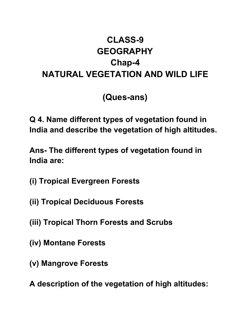## **CLASS-9 GEOGRAPHY Chap-4 NATURAL VEGETATION AND WILD LIFE**

**(Ques-ans)**

**Q 4. Name different types of vegetation found in India and describe the vegetation of high altitudes.**

**Ans- The different types of vegetation found in India are:**

- **(i) Tropical Evergreen Forests**
- **(ii) Tropical Deciduous Forests**
- **(iii) Tropical Thorn Forests and Scrubs**
- **(iv) Montane Forests**
- **(v) Mangrove Forests**
- **A description of the vegetation of high altitudes:**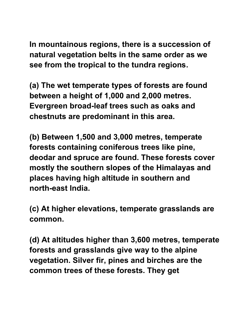**In mountainous regions, there is a succession of natural vegetation belts in the same order as we see from the tropical to the tundra regions.**

**(a) The wet temperate types of forests are found between a height of 1,000 and 2,000 metres. Evergreen broad-leaf trees such as oaks and chestnuts are predominant in this area.**

**(b) Between 1,500 and 3,000 metres, temperate forests containing coniferous trees like pine, deodar and spruce are found. These forests cover mostly the southern slopes of the Himalayas and places having high altitude in southern and north-east India.**

**(c) At higher elevations, temperate grasslands are common.**

**(d) At altitudes higher than 3,600 metres, temperate forests and grasslands give way to the alpine vegetation. Silver fir, pines and birches are the common trees of these forests. They get**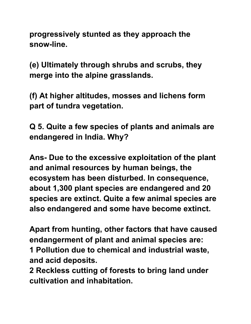**progressively stunted as they approach the snow-line.**

**(e) Ultimately through shrubs and scrubs, they merge into the alpine grasslands.**

**(f) At higher altitudes, mosses and lichens form part of tundra vegetation.**

**Q 5. Quite a few species of plants and animals are endangered in India. Why?**

**Ans- Due to the excessive exploitation of the plant and animal resources by human beings, the ecosystem has been disturbed. In consequence, about 1,300 plant species are endangered and 20 species are extinct. Quite a few animal species are also endangered and some have become extinct.**

**Apart from hunting, other factors that have caused endangerment of plant and animal species are: 1 Pollution due to chemical and industrial waste, and acid deposits.**

**2 Reckless cutting of forests to bring land under cultivation and inhabitation.**